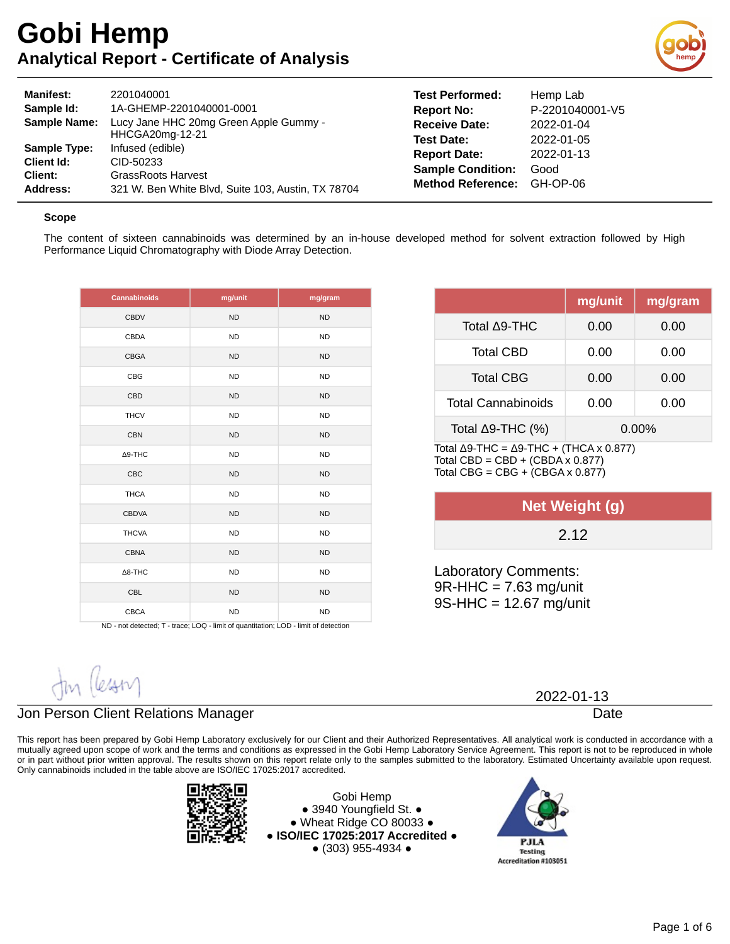

| <b>Manifest:</b>    | 2201040001                                         | <b>Test Performed:</b>   | Hemr     |
|---------------------|----------------------------------------------------|--------------------------|----------|
| Sample Id:          | 1A-GHEMP-2201040001-0001                           | <b>Report No:</b>        | $P-220$  |
| <b>Sample Name:</b> | Lucy Jane HHC 20mg Green Apple Gummy -             | <b>Receive Date:</b>     | $2022 -$ |
|                     | HHCGA20mg-12-21                                    | <b>Test Date:</b>        | $2022 -$ |
| Sample Type:        | Infused (edible)                                   | <b>Report Date:</b>      | 2022-    |
| Client Id:          | CID-50233                                          | <b>Sample Condition:</b> | Good     |
| Client:             | <b>GrassRoots Harvest</b>                          | <b>Method Reference:</b> | GH-C     |
| Address:            | 321 W. Ben White Blvd, Suite 103, Austin, TX 78704 |                          |          |

## **Test Performed:** Hemp Lab **Report No:** P-2201040001-V5 **Receive Date:** 2022-01-04 **Test Date:** 2022-01-05 **Report Date:** 2022-01-13 **Method Reference:** GH-OP-06

### **Scope**

The content of sixteen cannabinoids was determined by an in-house developed method for solvent extraction followed by High Performance Liquid Chromatography with Diode Array Detection.

| <b>Cannabinoids</b> | mg/unit   | mg/gram   |
|---------------------|-----------|-----------|
| CBDV                | <b>ND</b> | <b>ND</b> |
| CBDA                | <b>ND</b> | <b>ND</b> |
| CBGA                | <b>ND</b> | <b>ND</b> |
| <b>CBG</b>          | <b>ND</b> | <b>ND</b> |
| CBD                 | <b>ND</b> | <b>ND</b> |
| <b>THCV</b>         | <b>ND</b> | <b>ND</b> |
| <b>CBN</b>          | <b>ND</b> | <b>ND</b> |
| $\Delta$ 9-THC      | <b>ND</b> | <b>ND</b> |
| <b>CBC</b>          | <b>ND</b> | <b>ND</b> |
| <b>THCA</b>         | <b>ND</b> | <b>ND</b> |
| <b>CBDVA</b>        | <b>ND</b> | <b>ND</b> |
| <b>THCVA</b>        | <b>ND</b> | <b>ND</b> |
| <b>CBNA</b>         | <b>ND</b> | <b>ND</b> |
| $\Delta$ 8-THC      | <b>ND</b> | <b>ND</b> |
| <b>CBL</b>          | <b>ND</b> | <b>ND</b> |
| CBCA                | <b>ND</b> | <b>ND</b> |

ND - not detected; T - trace; LOQ - limit of quantitation; LOD - limit of detection

|                                                                           | mg/unit | mg/gram  |
|---------------------------------------------------------------------------|---------|----------|
|                                                                           |         |          |
| Total ∆9-THC                                                              | 0.00    | 0.00     |
| <b>Total CBD</b>                                                          | 0.00    | 0.00     |
| <b>Total CBG</b>                                                          | 0.00    | 0.00     |
| <b>Total Cannabinoids</b>                                                 | 0.00    | 0.00     |
| Total $\Delta$ 9-THC (%)                                                  |         | $0.00\%$ |
| Total $\Lambda$ Q.THC - $\Lambda$ Q.THC + (THC $\Lambda$ y $\Lambda$ 877) |         |          |

Total Δ9-THC = Δ9-THC + (THCA x 0.877) Total CBD =  $CBD + (CBDA \times 0.877)$ Total CBG =  $CBG + (CBGA \times 0.877)$ 

| Net Weight (g) |  |
|----------------|--|
| 2.12           |  |
|                |  |

Laboratory Comments: 9R-HHC = 7.63 mg/unit 9S-HHC = 12.67 mg/unit

2022-01-13

Date

## Jon Person Client Relations Manager

This report has been prepared by Gobi Hemp Laboratory exclusively for our Client and their Authorized Representatives. All analytical work is conducted in accordance with a mutually agreed upon scope of work and the terms and conditions as expressed in the Gobi Hemp Laboratory Service Agreement. This report is not to be reproduced in whole or in part without prior written approval. The results shown on this report relate only to the samples submitted to the laboratory. Estimated Uncertainty available upon request. Only cannabinoids included in the table above are ISO/IEC 17025:2017 accredited.



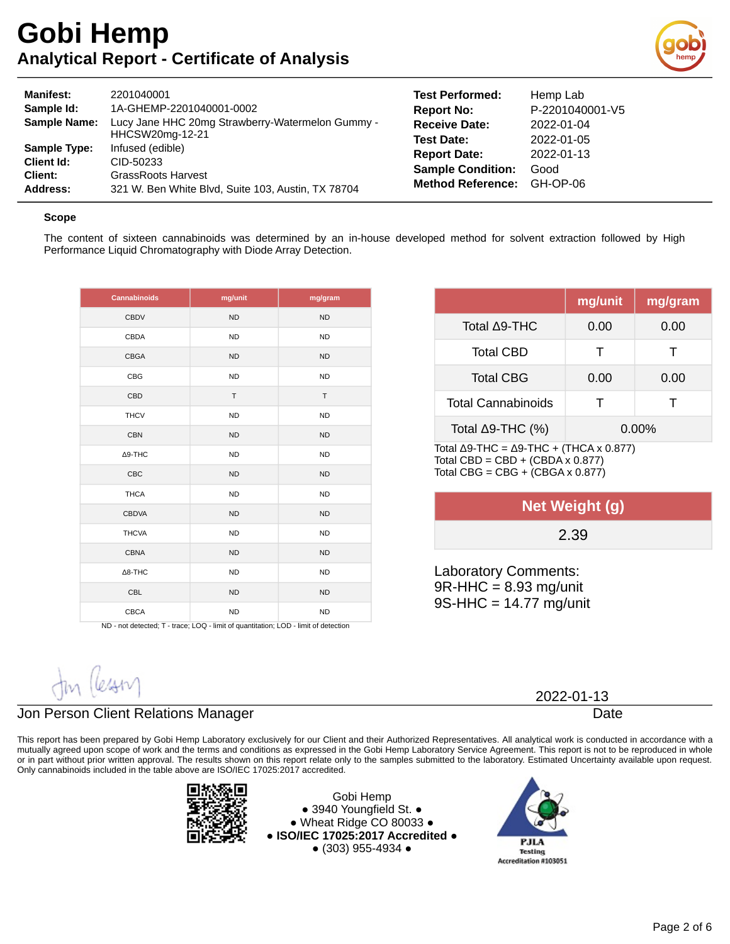

| <b>Manifest:</b><br>Sample Id:<br><b>Sample Name:</b>                  | 2201040001<br>1A-GHEMP-2201040001-0002<br>Lucy Jane HHC 20mg Strawberry-Watermelon Gummy -<br>HHCSW20mg-12-21    | <b>Test Performed:</b><br><b>Report No:</b><br><b>Receive Date:</b><br><b>Test Date:</b> | Hemp Lab<br>P-2201040001-V5<br>2022-01-04<br>2022-01-05 |
|------------------------------------------------------------------------|------------------------------------------------------------------------------------------------------------------|------------------------------------------------------------------------------------------|---------------------------------------------------------|
| <b>Sample Type:</b><br><b>Client Id:</b><br>Client:<br><b>Address:</b> | Infused (edible)<br>CID-50233<br><b>GrassRoots Harvest</b><br>321 W. Ben White Blvd, Suite 103, Austin, TX 78704 | <b>Report Date:</b><br><b>Sample Condition:</b><br><b>Method Reference:</b>              | 2022-01-13<br>Good<br>GH-OP-06                          |

#### **Scope**

The content of sixteen cannabinoids was determined by an in-house developed method for solvent extraction followed by High Performance Liquid Chromatography with Diode Array Detection.

| <b>Cannabinoids</b> | mg/unit   | mg/gram   |
|---------------------|-----------|-----------|
| <b>CBDV</b>         | <b>ND</b> | ND        |
| <b>CBDA</b>         | <b>ND</b> | <b>ND</b> |
| CBGA                | <b>ND</b> | <b>ND</b> |
| CBG                 | <b>ND</b> | <b>ND</b> |
| <b>CBD</b>          | T         | T         |
| <b>THCV</b>         | <b>ND</b> | <b>ND</b> |
| <b>CBN</b>          | <b>ND</b> | <b>ND</b> |
| Δ9-THC              | <b>ND</b> | <b>ND</b> |
| <b>CBC</b>          | <b>ND</b> | <b>ND</b> |
| <b>THCA</b>         | <b>ND</b> | <b>ND</b> |
| <b>CBDVA</b>        | <b>ND</b> | <b>ND</b> |
| <b>THCVA</b>        | <b>ND</b> | <b>ND</b> |
| <b>CBNA</b>         | <b>ND</b> | <b>ND</b> |
| $\Delta$ 8-THC      | <b>ND</b> | <b>ND</b> |
| <b>CBL</b>          | <b>ND</b> | <b>ND</b> |
| CBCA                | <b>ND</b> | <b>ND</b> |

ND - not detected; T - trace; LOQ - limit of quantitation; LOD - limit of detection

| mg/unit      | mg/gram  |
|--------------|----------|
| 0.00         | 0.00     |
| т            | т        |
| 0.00         | 0.00     |
| $\mathbf{I}$ | Т        |
|              | $0.00\%$ |
|              |          |

TOTAL Δ9-THC = Δ9-THC + (THCA X 0.877) Total CBD =  $CBD + (CBDA \times 0.877)$ Total CBG =  $CBG + (CBGA \times 0.877)$ 

| Net Weight (g) |  |
|----------------|--|
| 2.39           |  |

Laboratory Comments: 9R-HHC = 8.93 mg/unit 9S-HHC = 14.77 mg/unit

2022-01-13

Date

### Jon Person Client Relations Manager

This report has been prepared by Gobi Hemp Laboratory exclusively for our Client and their Authorized Representatives. All analytical work is conducted in accordance with a mutually agreed upon scope of work and the terms and conditions as expressed in the Gobi Hemp Laboratory Service Agreement. This report is not to be reproduced in whole or in part without prior written approval. The results shown on this report relate only to the samples submitted to the laboratory. Estimated Uncertainty available upon request. Only cannabinoids included in the table above are ISO/IEC 17025:2017 accredited.



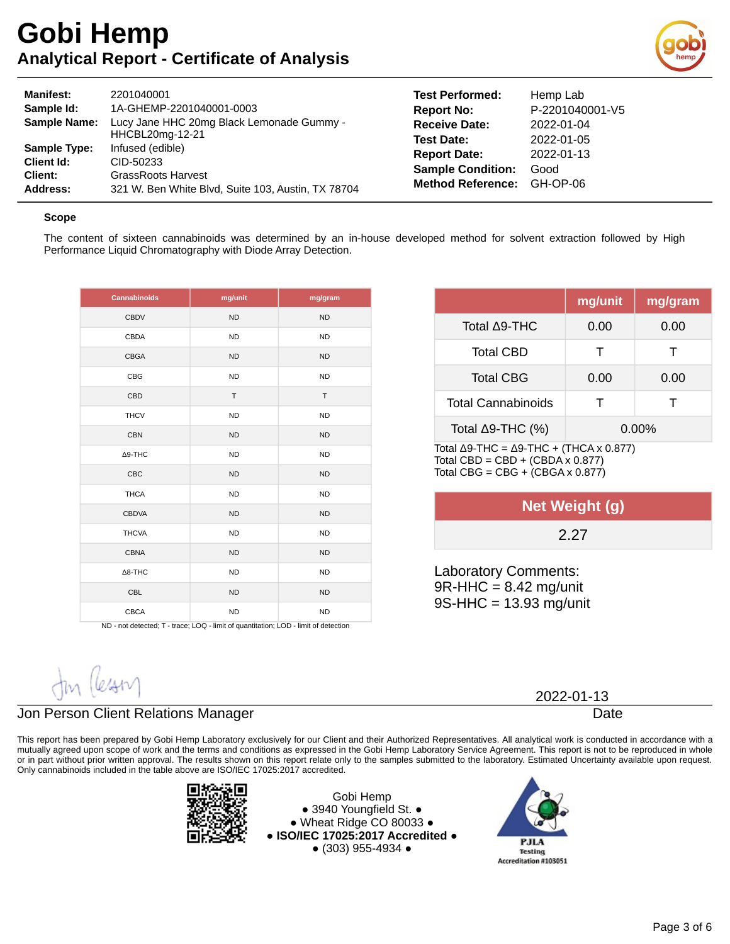

| <b>Manifest:</b>    | 2201040001                                         | <b>Test Performed:</b>   | Hemp Lab        |
|---------------------|----------------------------------------------------|--------------------------|-----------------|
| Sample Id:          | 1A-GHEMP-2201040001-0003                           | <b>Report No:</b>        | P-2201040001-V5 |
| <b>Sample Name:</b> | Lucy Jane HHC 20mg Black Lemonade Gummy -          | <b>Receive Date:</b>     | 2022-01-04      |
|                     | HHCBL20mg-12-21                                    | <b>Test Date:</b>        | 2022-01-05      |
| <b>Sample Type:</b> | Infused (edible)                                   | <b>Report Date:</b>      | 2022-01-13      |
| <b>Client Id:</b>   | CID-50233                                          | <b>Sample Condition:</b> | Good            |
| Client:             | <b>GrassRoots Harvest</b>                          | <b>Method Reference:</b> | GH-OP-06        |
| Address:            | 321 W. Ben White Blvd, Suite 103, Austin, TX 78704 |                          |                 |

#### **Scope**

The content of sixteen cannabinoids was determined by an in-house developed method for solvent extraction followed by High Performance Liquid Chromatography with Diode Array Detection.

| Cannabinoids   | mg/unit      | mg/gram   |
|----------------|--------------|-----------|
| <b>CBDV</b>    | <b>ND</b>    | <b>ND</b> |
| CBDA           | <b>ND</b>    | <b>ND</b> |
| CBGA           | <b>ND</b>    | <b>ND</b> |
| <b>CBG</b>     | <b>ND</b>    | <b>ND</b> |
| CBD            | $\mathsf{T}$ | T         |
| <b>THCV</b>    | <b>ND</b>    | <b>ND</b> |
| <b>CBN</b>     | <b>ND</b>    | <b>ND</b> |
| $\Delta$ 9-THC | <b>ND</b>    | <b>ND</b> |
| <b>CBC</b>     | <b>ND</b>    | <b>ND</b> |
| <b>THCA</b>    | <b>ND</b>    | <b>ND</b> |
| <b>CBDVA</b>   | <b>ND</b>    | <b>ND</b> |
| <b>THCVA</b>   | <b>ND</b>    | <b>ND</b> |
| <b>CBNA</b>    | <b>ND</b>    | <b>ND</b> |
| $\Delta$ 8-THC | <b>ND</b>    | <b>ND</b> |
| <b>CBL</b>     | <b>ND</b>    | <b>ND</b> |
| <b>CBCA</b>    | <b>ND</b>    | <b>ND</b> |

| ND - not detected; T - trace; LOQ - limit of quantitation; LOD - limit of detection |  |
|-------------------------------------------------------------------------------------|--|
|                                                                                     |  |
|                                                                                     |  |

|                                                        | mg/unit  | mg/gram |
|--------------------------------------------------------|----------|---------|
| Total ∆9-THC                                           | 0.00     | 0.00    |
| <b>Total CBD</b>                                       | т        | т       |
| <b>Total CBG</b>                                       | 0.00     | 0.00    |
| <b>Total Cannabinoids</b>                              | т        | т       |
| Total $\Delta$ 9-THC (%)                               | $0.00\%$ |         |
| Total $\Delta$ 9-THC = $\Delta$ 9-THC + (THCA x 0.877) |          |         |

Total CBD = CBD + (CBDA  $\times$  0.877) Total CBG =  $CBG + (CBGA \times 0.877)$ 

| Net Weight (g) |  |
|----------------|--|
| 2.27           |  |

Laboratory Comments:  $9R$ -HHC = 8.42 mg/unit 9S-HHC = 13.93 mg/unit

2022-01-13

Date

## Jon Person Client Relations Manager

This report has been prepared by Gobi Hemp Laboratory exclusively for our Client and their Authorized Representatives. All analytical work is conducted in accordance with a mutually agreed upon scope of work and the terms and conditions as expressed in the Gobi Hemp Laboratory Service Agreement. This report is not to be reproduced in whole or in part without prior written approval. The results shown on this report relate only to the samples submitted to the laboratory. Estimated Uncertainty available upon request. Only cannabinoids included in the table above are ISO/IEC 17025:2017 accredited.



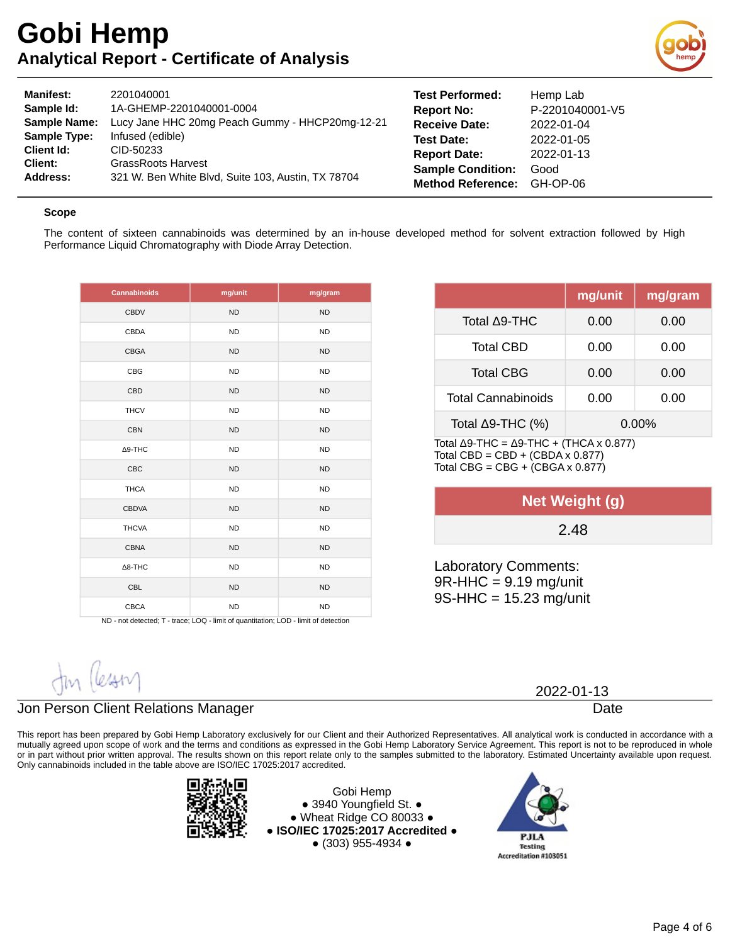

| <b>Manifest:</b>    | 2201040001                                         | <b>Test Performed:</b>   | Hemp Lab        |
|---------------------|----------------------------------------------------|--------------------------|-----------------|
| Sample Id:          | 1A-GHEMP-2201040001-0004                           | <b>Report No:</b>        | P-2201040001-V5 |
| <b>Sample Name:</b> | Lucy Jane HHC 20mg Peach Gummy - HHCP20mg-12-21    | <b>Receive Date:</b>     | 2022-01-04      |
| <b>Sample Type:</b> | Infused (edible)                                   | <b>Test Date:</b>        | 2022-01-05      |
| <b>Client Id:</b>   | CID-50233                                          | <b>Report Date:</b>      | 2022-01-13      |
| Client:             | <b>GrassRoots Harvest</b>                          | <b>Sample Condition:</b> | Good            |
| Address:            | 321 W. Ben White Blvd, Suite 103, Austin, TX 78704 | <b>Method Reference:</b> | GH-OP-06        |

#### **Scope**

The content of sixteen cannabinoids was determined by an in-house developed method for solvent extraction followed by High Performance Liquid Chromatography with Diode Array Detection.

| Cannabinoids   | mg/unit   | mg/gram   |
|----------------|-----------|-----------|
| <b>CBDV</b>    | <b>ND</b> | <b>ND</b> |
| CBDA           | <b>ND</b> | <b>ND</b> |
| <b>CBGA</b>    | <b>ND</b> | <b>ND</b> |
| <b>CBG</b>     | <b>ND</b> | <b>ND</b> |
| CBD            | <b>ND</b> | <b>ND</b> |
| <b>THCV</b>    | <b>ND</b> | <b>ND</b> |
| <b>CBN</b>     | <b>ND</b> | <b>ND</b> |
| $\Delta$ 9-THC | <b>ND</b> | <b>ND</b> |
| <b>CBC</b>     | <b>ND</b> | <b>ND</b> |
| <b>THCA</b>    | <b>ND</b> | <b>ND</b> |
| <b>CBDVA</b>   | <b>ND</b> | <b>ND</b> |
| <b>THCVA</b>   | <b>ND</b> | <b>ND</b> |
| <b>CBNA</b>    | <b>ND</b> | <b>ND</b> |
| $\Delta$ 8-THC | <b>ND</b> | <b>ND</b> |
| <b>CBL</b>     | <b>ND</b> | <b>ND</b> |
| <b>CBCA</b>    | <b>ND</b> | <b>ND</b> |

ND - not detected; T - trace; LOQ - limit of quantitation; LOD - limit of detection

|                           | mg/unit  | mg/gram |
|---------------------------|----------|---------|
| Total ∆9-THC              | 0.00     | 0.00    |
| <b>Total CBD</b>          | 0.00     | 0.00    |
| <b>Total CBG</b>          | 0.00     | 0.00    |
| <b>Total Cannabinoids</b> | 0.00     | 0.00    |
| Total $\Delta$ 9-THC (%)  | $0.00\%$ |         |

Total Δ9-THC =  $Δ9-THC + (THCA × 0.877)$ Total CBD = CBD + (CBDA x  $0.877$ ) Total CBG =  $CBG + (CBGA \times 0.877)$ 

| Net Weight (g) |  |
|----------------|--|
| 2.48           |  |
|                |  |

Laboratory Comments:  $9R$ -HHC = 9.19 mg/unit 9S-HHC = 15.23 mg/unit

### Jon Person Client Relations Manager

This report has been prepared by Gobi Hemp Laboratory exclusively for our Client and their Authorized Representatives. All analytical work is conducted in accordance with a mutually agreed upon scope of work and the terms and conditions as expressed in the Gobi Hemp Laboratory Service Agreement. This report is not to be reproduced in whole or in part without prior written approval. The results shown on this report relate only to the samples submitted to the laboratory. Estimated Uncertainty available upon request. Only cannabinoids included in the table above are ISO/IEC 17025:2017 accredited.



Gobi Hemp ● 3940 Youngfield St. ● ● Wheat Ridge CO 80033 ● **● ISO/IEC 17025:2017 Accredited ●** ● (303) 955-4934 ●



2022-01-13

Date